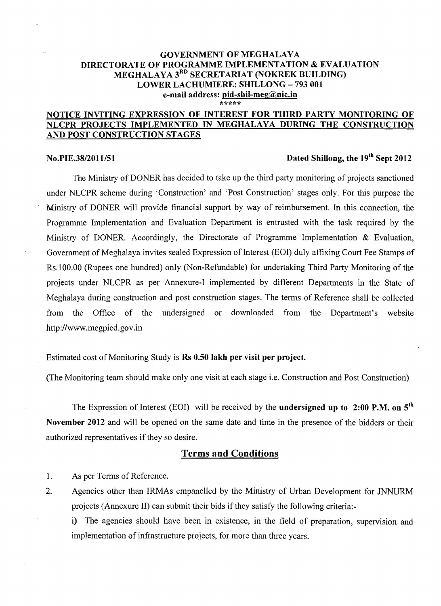#### GOVERNMENT OF MEGHALAYA DIRECTORATE OF PROGRAMME IMPLEMENTATION & EVALUATION MEGHALAYA 3<sup>RD</sup> SECRETARIAT (NOKREK BUILDING) LOWER LACHUMIERE: SHILLONG - 793 001 e-mail address: pid-shil-meg@nic.in \*\*\*\*\*

#### NOTICE INVITING EXPRESSION OF INTEREST FOR THIRD PARTY MONITORING OF NLCPR PROJECTS IMPLEMENTED IN MEGHALAYA DURING THE CONSTRUCTION AND POST CONSTRUCTION STAGES

### **No.PIE.38/2011/51 Dated Shillong, the 19<sup>th</sup> Sept 2012**

The Ministry of DONER has decided to take up the third party monitoring of projects sanctioned under NLCPR scheme during 'Construction' and 'Post Construction' stages only. For this purpose the Ministry of DONER will provide financial support by way of reimbursement. In this connection, the Programme Implementation and Evaluation Department is entrusted with the task required by the Ministry of DONER. Accordingly, the Directorate of Programme Implementation & Evaluation, Government of Meghalaya invites sealed Expression of Interest (EOI) duly affixing Court Fee Stamps of Rs.100.00 (Rupees one hundred) only (Non-Refundable) for undertaking Third Party Monitoring of the projects under NLCPR as per Annexure-I implemented by different Departments in the State of Meghalaya during construction and post construction stages. The terms of Reference shall be collected from the Office of the undersigned or downloaded from the Department's website http://www.megpied.gov.in

Estimated cost of Monitoring Study is Rs 0.50 lakh per visit per project.

(The Monitoring team should make only one visit at each stage i.e. Construction and Post Construction)

The Expression of Interest (EOI) will be received by the undersigned up to 2:00 P.M. on  $5<sup>th</sup>$ November 2012 and will be opened on the same date and time in the presence of the bidders or their authorized representatives if they so desire.

#### Terms and Conditions

1. As per Terms of Reference.

2. Agencies other than IRMAs empanelled by the Ministry of Urban Development for JNNURM projects (Annexure II) can submit their bids if they satisfy the following criteria:

i) The agencies should have been in existence, in the field of preparation, supervision and implementation of infrastructure projects, for more than three years.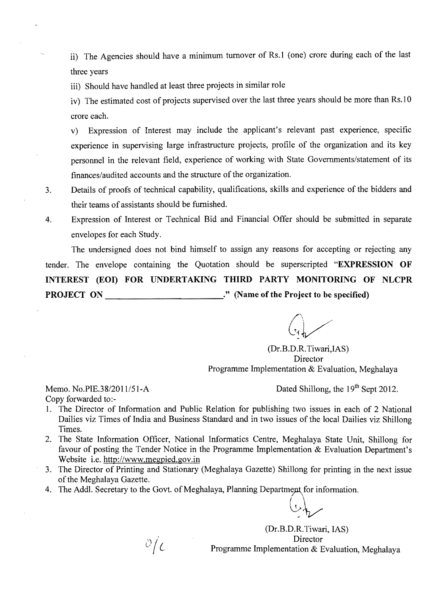ii) The Agencies should have a minimum turnover of Rs.l (one) crore during each of the last three years

iii) Should have handled at least three projects in similar role

iv) The estimated cost of projects supervised over the last three years should be more than Rs.l 0 crore each.

v) Expression of Interest may include the applicant's relevant past experience, specific experience in supervising large infrastructure projects, profile of the organization and its key personnel in the relevant field, experience of working with State Governments/statement of its finances/audited accounts and the structure of the organization.

- 3. Details of proofs of technical capability, qualifications, skills and experience of the bidders and their teams of assistants should be furnished.
- 4. Expression of Interest or Technical Bid and Financial Offer should be submitted in separate envelopes for each Study.

The undersigned does not bind himself to assign any reasons for accepting or rejecting any tender. The envelope containing the Quotation should be superscripted **"EXPRESSION OF INTEREST (EOI) FOR UNDERTAKING THIRD PARTY MONITORING OF NLCPR PROJECT ON ...** *...* **<b>***...* **<b>***... ...**...* **<b>***... ...**...**...* **<b>***...**... ...**...**...* **<b>***... ....**...**...**...**...**...**...**...**...**...**...**...**...**....**...**...*

(Dr.B.D.R.Tiwari,IAS) **Director** Programme Implementation & Evaluation, Meghalaya

Copy forwarded to:

Memo. No.PIE.38/2011/51-A Dated Shillong, the 19<sup>th</sup> Sept 2012.

- 1. The Director of Information and Public Relation for publishing two issues in each of 2 National Dailies viz Times of India and Business Standard and in two issues of the local Dailies viz Shillong Times.
- 2. The State Information Officer, National Informatics Centre, Meghalaya State Unit, Shillong for favour of posting the Tender Notice in the Programme Implementation & Evaluation Department's Website i.e. http://www.megpied.gov.in
- 3. The Director of Printing and Stationary (Meghalaya Gazette) Shillong for printing in the next issue of the Meghalaya Gazette.
- 4. The Addl. Secretary to the Govt. of Meghalaya, Planning Department for information.

 $\partial/c$ 

(Dr.B.D.R.Tiwari, lAS) Director Programme Implementation & Evaluation, Meghalaya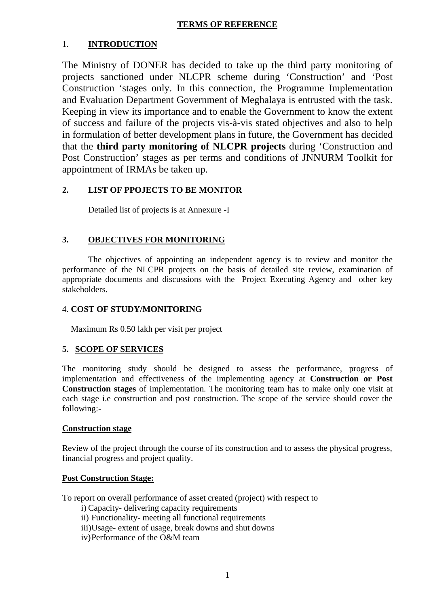#### **TERMS OF REFERENCE**

#### 1. **INTRODUCTION**

The Ministry of DONER has decided to take up the third party monitoring of projects sanctioned under NLCPR scheme during 'Construction' and 'Post Construction 'stages only. In this connection, the Programme Implementation and Evaluation Department Government of Meghalaya is entrusted with the task. Keeping in view its importance and to enable the Government to know the extent of success and failure of the projects vis-à-vis stated objectives and also to help in formulation of better development plans in future, the Government has decided that the **third party monitoring of NLCPR projects** during 'Construction and Post Construction' stages as per terms and conditions of JNNURM Toolkit for appointment of IRMAs be taken up.

#### **2. LIST OF PPOJECTS TO BE MONITOR**

Detailed list of projects is at Annexure -I

#### **3. OBJECTIVES FOR MONITORING**

 The objectives of appointing an independent agency is to review and monitor the performance of the NLCPR projects on the basis of detailed site review, examination of appropriate documents and discussions with the Project Executing Agency and other key stakeholders.

#### 4. **COST OF STUDY/MONITORING**

Maximum Rs 0.50 lakh per visit per project

#### **5. SCOPE OF SERVICES**

The monitoring study should be designed to assess the performance, progress of implementation and effectiveness of the implementing agency at **Construction or Post Construction stages** of implementation. The monitoring team has to make only one visit at each stage i.e construction and post construction. The scope of the service should cover the following:-

#### **Construction stage**

Review of the project through the course of its construction and to assess the physical progress, financial progress and project quality.

#### **Post Construction Stage:**

To report on overall performance of asset created (project) with respect to

- i) Capacity- delivering capacity requirements
- ii) Functionality- meeting all functional requirements
- iii)Usage- extent of usage, break downs and shut downs
- iv)Performance of the O&M team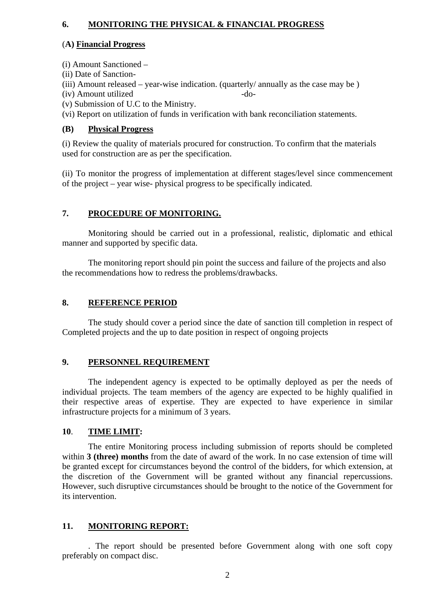#### **6. MONITORING THE PHYSICAL & FINANCIAL PROGRESS**

#### (**A) Financial Progress**

(i) Amount Sanctioned –

- (ii) Date of Sanction-
- (iii) Amount released year-wise indication. (quarterly/ annually as the case may be )
- (iv) Amount utilized -do-
- (v) Submission of U.C to the Ministry.

(vi) Report on utilization of funds in verification with bank reconciliation statements.

#### **(B) Physical Progress**

(i) Review the quality of materials procured for construction. To confirm that the materials used for construction are as per the specification.

(ii) To monitor the progress of implementation at different stages/level since commencement of the project – year wise- physical progress to be specifically indicated.

#### **7. PROCEDURE OF MONITORING.**

 Monitoring should be carried out in a professional, realistic, diplomatic and ethical manner and supported by specific data.

 The monitoring report should pin point the success and failure of the projects and also the recommendations how to redress the problems/drawbacks.

#### **8. REFERENCE PERIOD**

 The study should cover a period since the date of sanction till completion in respect of Completed projects and the up to date position in respect of ongoing projects

#### **9. PERSONNEL REQUIREMENT**

 The independent agency is expected to be optimally deployed as per the needs of individual projects. The team members of the agency are expected to be highly qualified in their respective areas of expertise. They are expected to have experience in similar infrastructure projects for a minimum of 3 years.

#### **10**. **TIME LIMIT:**

The entire Monitoring process including submission of reports should be completed within **3 (three) months** from the date of award of the work. In no case extension of time will be granted except for circumstances beyond the control of the bidders, for which extension, at the discretion of the Government will be granted without any financial repercussions. However, such disruptive circumstances should be brought to the notice of the Government for its intervention.

#### **11. MONITORING REPORT:**

 . The report should be presented before Government along with one soft copy preferably on compact disc.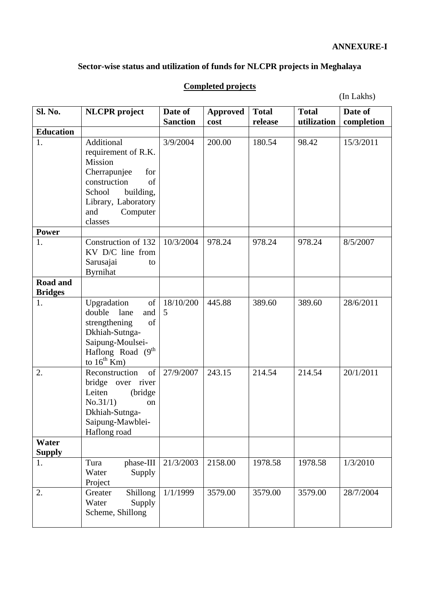#### **ANNEXURE-I**

#### **Sector-wise status and utilization of funds for NLCPR projects in Meghalaya**

#### Sl. No. | NLCPR project | Date of **Sanction Approved cost Total release Total utilization Date of completion Education**  1. Additional requirement of R.K. Mission Cherrapunjee for construction of School building, Library, Laboratory and Computer classes 3/9/2004 200.00 180.54 98.42 15/3/2011 **Power**  1. Construction of 132 KV D/C line from Sarusajai to Byrnihat 10/3/2004 978.24 978.24 978.24 8/5/2007 **Road and Bridges**  1. Upgradation of double lane and strengthening of Dkhiah-Sutnga-Saipung-Moulsei-Haflong Road (9<sup>th</sup>) to  $16^{th}$  Km) 18/10/200 5 445.88 389.60 389.60 28/6/2011 2. Reconstruction of bridge over river Leiten (bridge  $No.31/1$  on Dkhiah-Sutnga-Saipung-Mawblei-Haflong road 27/9/2007 243.15 214.54 214.54 20/1/2011 **Water Supply**  1. Tura phase-III Water Supply Project 21/3/2003 2158.00 1978.58 1978.58 1/3/2010 2. Greater Shillong Water Supply Scheme, Shillong 1/1/1999 3579.00 3579.00 3579.00 28/7/2004

#### **Completed projects**

(In Lakhs)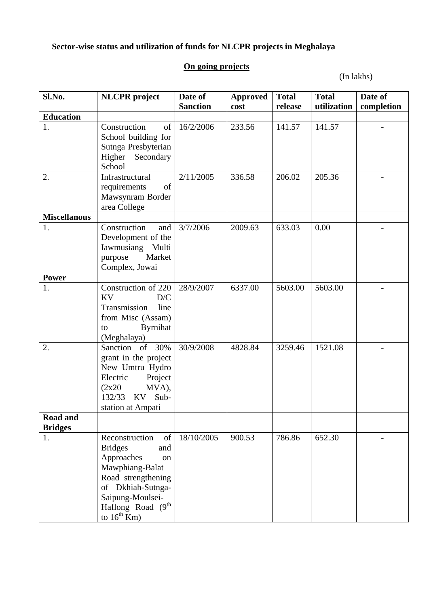# **Sector-wise status and utilization of funds for NLCPR projects in Meghalaya**

## **On going projects**

(In lakhs)

| Sl.No.                            | <b>NLCPR</b> project                                                                                                                                                                                                | Date of<br><b>Sanction</b> | <b>Approved</b><br>cost | <b>Total</b><br>release | <b>Total</b><br>utilization | Date of<br>completion |
|-----------------------------------|---------------------------------------------------------------------------------------------------------------------------------------------------------------------------------------------------------------------|----------------------------|-------------------------|-------------------------|-----------------------------|-----------------------|
| <b>Education</b>                  |                                                                                                                                                                                                                     |                            |                         |                         |                             |                       |
| 1.                                | Construction<br>of<br>School building for<br>Sutnga Presbyterian<br>Higher<br>Secondary<br>School                                                                                                                   | 16/2/2006                  | 233.56                  | 141.57                  | 141.57                      |                       |
| 2.                                | Infrastructural<br>of<br>requirements<br>Mawsynram Border<br>area College                                                                                                                                           | 2/11/2005                  | 336.58                  | 206.02                  | 205.36                      |                       |
| <b>Miscellanous</b>               |                                                                                                                                                                                                                     |                            |                         |                         |                             |                       |
| 1.                                | Construction<br>and<br>Development of the<br>Iawmusiang Multi<br>Market<br>purpose<br>Complex, Jowai                                                                                                                | 3/7/2006                   | 2009.63                 | 633.03                  | 0.00                        |                       |
| <b>Power</b>                      |                                                                                                                                                                                                                     |                            |                         |                         |                             |                       |
| 1.                                | Construction of 220<br><b>KV</b><br>D/C<br>Transmission<br>line<br>from Misc (Assam)<br><b>Byrnihat</b><br>to<br>(Meghalaya)                                                                                        | 28/9/2007                  | 6337.00                 | 5603.00                 | 5603.00                     |                       |
| 2.                                | Sanction of<br>30%<br>grant in the project<br>New Umtru Hydro<br>Electric<br>Project<br>MVA),<br>(2x20)<br>132/33<br>KV<br>Sub-<br>station at Ampati                                                                | 30/9/2008                  | 4828.84                 | 3259.46                 | 1521.08                     |                       |
| <b>Road and</b><br><b>Bridges</b> |                                                                                                                                                                                                                     |                            |                         |                         |                             |                       |
| 1.                                | Reconstruction<br>of<br><b>Bridges</b><br>and<br>Approaches<br><sub>on</sub><br>Mawphiang-Balat<br>Road strengthening<br>of Dkhiah-Sutnga-<br>Saipung-Moulsei-<br>Haflong Road (9 <sup>th</sup><br>to $16^{th}$ Km) | 18/10/2005                 | 900.53                  | 786.86                  | 652.30                      |                       |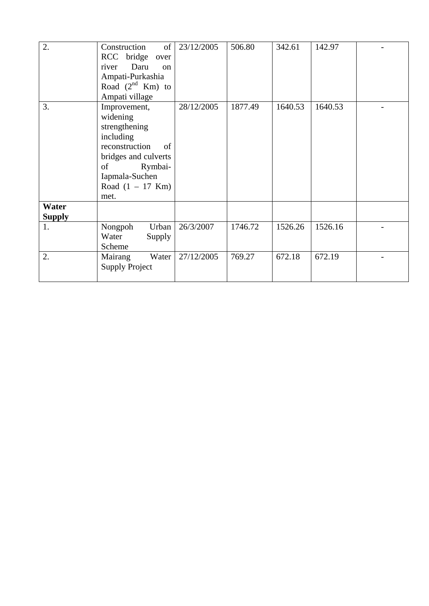| 2.                     | Construction<br>of<br>RCC bridge<br>over<br>Daru<br>river<br><sub>on</sub><br>Ampati-Purkashia<br>Road $(2^{nd}$ Km) to<br>Ampati village                               | 23/12/2005 | 506.80  | 342.61  | 142.97  |  |
|------------------------|-------------------------------------------------------------------------------------------------------------------------------------------------------------------------|------------|---------|---------|---------|--|
| 3.                     | Improvement,<br>widening<br>strengthening<br>including<br>reconstruction<br>of<br>bridges and culverts<br>Rymbai-<br>of<br>Iapmala-Suchen<br>Road $(1 - 17$ Km)<br>met. | 28/12/2005 | 1877.49 | 1640.53 | 1640.53 |  |
| Water<br><b>Supply</b> |                                                                                                                                                                         |            |         |         |         |  |
| 1.                     | Nongpoh<br>Urban<br>Water<br>Supply<br>Scheme                                                                                                                           | 26/3/2007  | 1746.72 | 1526.26 | 1526.16 |  |
| 2.                     | Mairang<br>Water<br><b>Supply Project</b>                                                                                                                               | 27/12/2005 | 769.27  | 672.18  | 672.19  |  |